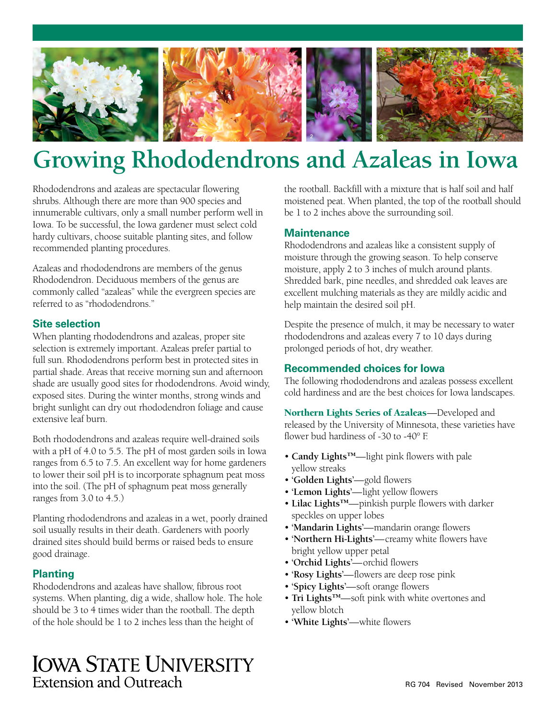

# **Growing Rhododendrons and Azaleas in Iowa**

Rhododendrons and azaleas are spectacular flowering shrubs. Although there are more than 900 species and innumerable cultivars, only a small number perform well in Iowa. To be successful, the Iowa gardener must select cold hardy cultivars, choose suitable planting sites, and follow recommended planting procedures.

Azaleas and rhododendrons are members of the genus Rhododendron. Deciduous members of the genus are commonly called "azaleas" while the evergreen species are referred to as "rhododendrons."

#### **Site selection**

When planting rhododendrons and azaleas, proper site selection is extremely important. Azaleas prefer partial to full sun. Rhododendrons perform best in protected sites in partial shade. Areas that receive morning sun and afternoon shade are usually good sites for rhododendrons. Avoid windy, exposed sites. During the winter months, strong winds and bright sunlight can dry out rhododendron foliage and cause extensive leaf burn.

Both rhododendrons and azaleas require well-drained soils with a pH of 4.0 to 5.5. The pH of most garden soils in Iowa ranges from 6.5 to 7.5. An excellent way for home gardeners to lower their soil pH is to incorporate sphagnum peat moss into the soil. (The pH of sphagnum peat moss generally ranges from 3.0 to 4.5.)

Planting rhododendrons and azaleas in a wet, poorly drained soil usually results in their death. Gardeners with poorly drained sites should build berms or raised beds to ensure good drainage.

## **Planting**

Rhododendrons and azaleas have shallow, fibrous root systems. When planting, dig a wide, shallow hole. The hole should be 3 to 4 times wider than the rootball. The depth of the hole should be 1 to 2 inches less than the height of

**IOWA STATE UNIVERSITY Extension and Outreach** 

the rootball. Backfill with a mixture that is half soil and half moistened peat. When planted, the top of the rootball should be 1 to 2 inches above the surrounding soil.

#### **Maintenance**

Rhododendrons and azaleas like a consistent supply of moisture through the growing season. To help conserve moisture, apply 2 to 3 inches of mulch around plants. Shredded bark, pine needles, and shredded oak leaves are excellent mulching materials as they are mildly acidic and help maintain the desired soil pH.

Despite the presence of mulch, it may be necessary to water rhododendrons and azaleas every 7 to 10 days during prolonged periods of hot, dry weather.

### **Recommended choices for Iowa**

The following rhododendrons and azaleas possess excellent cold hardiness and are the best choices for Iowa landscapes.

Northern Lights Series of Azaleas—Developed and released by the University of Minnesota, these varieties have flower bud hardiness of -30 to -40° F.

- **Candy Lights™**—light pink flowers with pale yellow streaks
- **'Golden Lights'**—gold flowers
- **'Lemon Lights'**—light yellow flowers
- **Lilac Lights™**—pinkish purple flowers with darker speckles on upper lobes
- **'Mandarin Lights'**—mandarin orange flowers
- **'Northern Hi-Lights'**—creamy white flowers have bright yellow upper petal
- **'Orchid Lights'**—orchid flowers
- **'Rosy Lights'**—flowers are deep rose pink
- **'Spicy Lights'**—soft orange flowers
- **Tri Lights™**—soft pink with white overtones and yellow blotch
- **'White Lights'**—white flowers